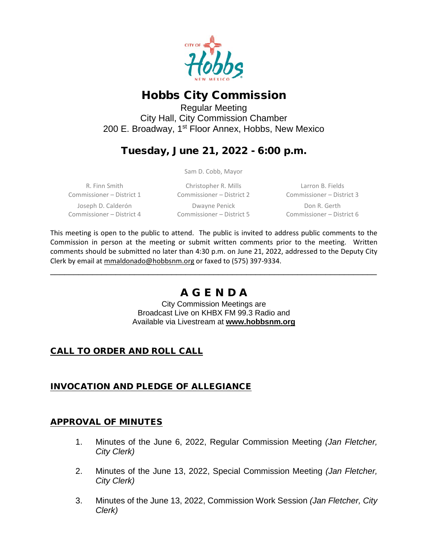

# Hobbs City Commission

Regular Meeting City Hall, City Commission Chamber 200 E. Broadway, 1<sup>st</sup> Floor Annex, Hobbs, New Mexico

# Tuesday, June 21, 2022 - 6:00 p.m.

Sam D. Cobb, Mayor

R. Finn Smith Commissioner – District 1 Joseph D. Calderón Commissioner – District 4

Christopher R. Mills Commissioner – District 2 Dwayne Penick Commissioner – District 5

Larron B. Fields Commissioner – District 3 Don R. Gerth Commissioner – District 6

This meeting is open to the public to attend. The public is invited to address public comments to the Commission in person at the meeting or submit written comments prior to the meeting. Written comments should be submitted no later than 4:30 p.m. on June 21, 2022, addressed to the Deputy City Clerk by email at [mmaldonado@hobbsnm.org](mailto:mmaldonado@hobbsnm.org) or faxed to (575) 397-9334.

# A G E N D A

\_\_\_\_\_\_\_\_\_\_\_\_\_\_\_\_\_\_\_\_\_\_\_\_\_\_\_\_\_\_\_\_\_\_\_\_\_\_\_\_\_\_\_\_\_\_\_\_\_\_\_\_\_\_\_\_\_\_\_\_\_\_\_\_\_\_\_\_\_\_

City Commission Meetings are Broadcast Live on KHBX FM 99.3 Radio and Available via Livestream at **[www.hobbsnm.org](http://www.hobbsnm.org/)**

## CALL TO ORDER AND ROLL CALL

## INVOCATION AND PLEDGE OF ALLEGIANCE

### APPROVAL OF MINUTES

- 1. Minutes of the June 6, 2022, Regular Commission Meeting *(Jan Fletcher, City Clerk)*
- 2. Minutes of the June 13, 2022, Special Commission Meeting *(Jan Fletcher, City Clerk)*
- 3. Minutes of the June 13, 2022, Commission Work Session *(Jan Fletcher, City Clerk)*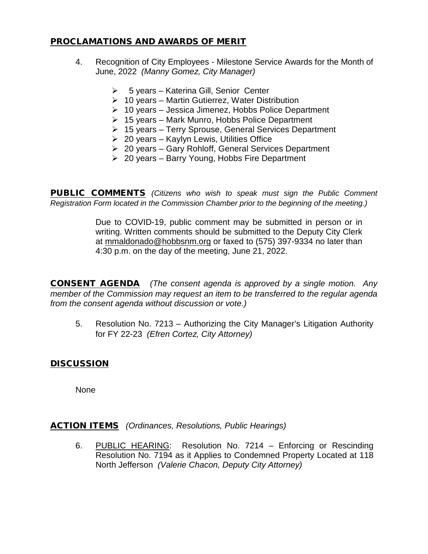#### PROCLAMATIONS AND AWARDS OF MERIT

- 4. Recognition of City Employees Milestone Service Awards for the Month of June, 2022 *(Manny Gomez, City Manager)*
	- $\geq$  5 years Katerina Gill, Senior Center
	- $\geq 10$  years Martin Gutierrez, Water Distribution
	- $\geq 10$  years Jessica Jimenez, Hobbs Police Department
	- $\geq 15$  vears Mark Munro, Hobbs Police Department
	- 15 years Terry Sprouse, General Services Department
	- $\geq 20$  years Kaylyn Lewis, Utilities Office
	- $\geq 20$  years Gary Rohloff, General Services Department
	- $\geq 20$  years Barry Young, Hobbs Fire Department

PUBLIC COMMENTS *(Citizens who wish to speak must sign the Public Comment Registration Form located in the Commission Chamber prior to the beginning of the meeting.)*

> Due to COVID-19, public comment may be submitted in person or in writing. Written comments should be submitted to the Deputy City Clerk at mmaldonado@hobbsnm.org or faxed to (575) 397-9334 no later than 4:30 p.m. on the day of the meeting, June 21, 2022.

CONSENT AGENDA *(The consent agenda is approved by a single motion. Any member of the Commission may request an item to be transferred to the regular agenda from the consent agenda without discussion or vote.)*

5. Resolution No. 7213 – Authorizing the City Manager's Litigation Authority for FY 22-23 *(Efren Cortez, City Attorney)*

### **DISCUSSION**

None

ACTION ITEMS *(Ordinances, Resolutions, Public Hearings)*

6. PUBLIC HEARING: Resolution No. 7214 – Enforcing or Rescinding Resolution No. 7194 as it Applies to Condemned Property Located at 118 North Jefferson *(Valerie Chacon, Deputy City Attorney)*